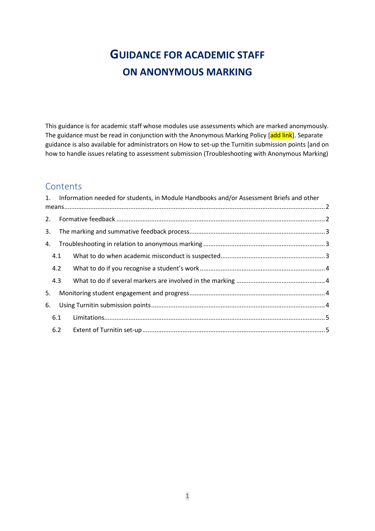# **GUIDANCE FOR ACADEMIC STAFF ON ANONYMOUS MARKING**

This guidance is for academic staff whose modules use assessments which are marked anonymously. The guidance must be read in conjunction with the Anonymous Marking Policy [add link]. Separate guidance is also available for administrators on How to set-up the Turnitin submission points [and on how to handle issues relating to assessment submission (Troubleshooting with Anonymous Marking)

### **Contents**

<span id="page-0-0"></span>

|     |     | 1. Information needed for students, in Module Handbooks and/or Assessment Briefs and other |  |
|-----|-----|--------------------------------------------------------------------------------------------|--|
|     |     |                                                                                            |  |
| 2.  |     |                                                                                            |  |
| 3.  |     |                                                                                            |  |
| 4.  |     |                                                                                            |  |
| 4.1 |     |                                                                                            |  |
|     | 4.2 |                                                                                            |  |
|     | 4.3 |                                                                                            |  |
| 5.  |     |                                                                                            |  |
| 6.  |     |                                                                                            |  |
|     | 6.1 |                                                                                            |  |
|     | 6.2 |                                                                                            |  |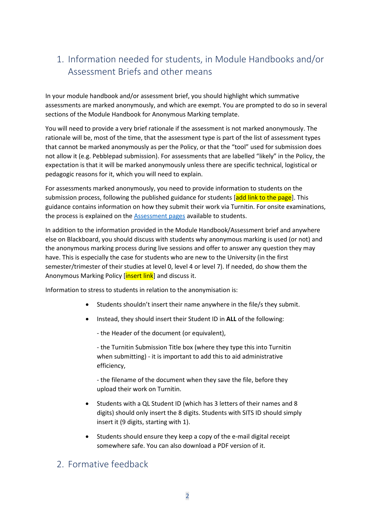# 1. Information needed for students, in Module Handbooks and/or Assessment Briefs and other means

In your module handbook and/or assessment brief, you should highlight which summative assessments are marked anonymously, and which are exempt. You are prompted to do so in several sections of the Module Handbook for Anonymous Marking template.

You will need to provide a very brief rationale if the assessment is not marked anonymously. The rationale will be, most of the time, that the assessment type is part of the list of assessment types that cannot be marked anonymously as per the Policy, or that the "tool" used for submission does not allow it (e.g. Pebblepad submission). For assessments that are labelled "likely" in the Policy, the expectation is that it will be marked anonymously unless there are specific technical, logistical or pedagogic reasons for it, which you will need to explain.

For assessments marked anonymously, you need to provide information to students on the submission process, following the published guidance for students [add link to the page]. This guidance contains information on how they submit their work via Turnitin. For onsite examinations, the process is explained on th[e Assessment pages](https://www.canterbury.ac.uk/current-students/academic-services/assessments/exams-and-coursework) available to students.

In addition to the information provided in the Module Handbook/Assessment brief and anywhere else on Blackboard, you should discuss with students why anonymous marking is used (or not) and the anonymous marking process during live sessions and offer to answer any question they may have. This is especially the case for students who are new to the University (in the first semester/trimester of their studies at level 0, level 4 or level 7). If needed, do show them the Anonymous Marking Policy [insert link] and discuss it.

Information to stress to students in relation to the anonymisation is:

- Students shouldn't insert their name anywhere in the file/s they submit.
- Instead, they should insert their Student ID in **ALL** of the following:

- the Header of the document (or equivalent),

- the Turnitin Submission Title box (where they type this into Turnitin when submitting) - it is important to add this to aid administrative efficiency,

- the filename of the document when they save the file, before they upload their work on Turnitin.

- Students with a QL Student ID (which has 3 letters of their names and 8 digits) should only insert the 8 digits. Students with SITS ID should simply insert it (9 digits, starting with 1).
- Students should ensure they keep a copy of the e-mail digital receipt somewhere safe. You can also download a PDF version of it.

### <span id="page-1-0"></span>2. Formative feedback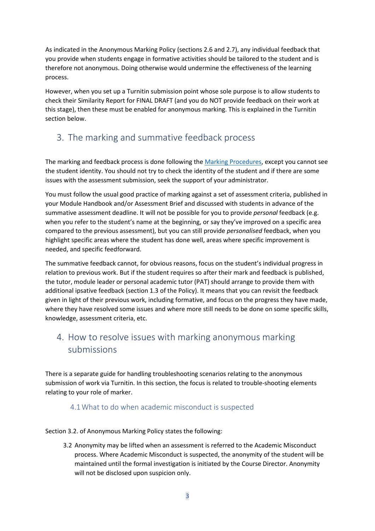As indicated in the Anonymous Marking Policy (sections 2.6 and 2.7), any individual feedback that you provide when students engage in formative activities should be tailored to the student and is therefore not anonymous. Doing otherwise would undermine the effectiveness of the learning process.

However, when you set up a Turnitin submission point whose sole purpose is to allow students to check their Similarity Report for FINAL DRAFT (and you do NOT provide feedback on their work at this stage), then these must be enabled for anonymous marking. This is explained in the Turnitin section below.

# <span id="page-2-0"></span>3. The marking and summative feedback process

The marking and feedback process is done following the [Marking Procedures,](https://www.canterbury.ac.uk/quality-and-standards-office/regulations-policies-and-procedures/marking-procedures.aspx) except you cannot see the student identity. You should not try to check the identity of the student and if there are some issues with the assessment submission, seek the support of your administrator.

You must follow the usual good practice of marking against a set of assessment criteria, published in your Module Handbook and/or Assessment Brief and discussed with students in advance of the summative assessment deadline. It will not be possible for you to provide *personal* feedback (e.g. when you refer to the student's name at the beginning, or say they've improved on a specific area compared to the previous assessment), but you can still provide *personalised* feedback, when you highlight specific areas where the student has done well, areas where specific improvement is needed, and specific feedforward.

The summative feedback cannot, for obvious reasons, focus on the student's individual progress in relation to previous work. But if the student requires so after their mark and feedback is published, the tutor, module leader or personal academic tutor (PAT) should arrange to provide them with additional ipsative feedback (section 1.3 of the Policy). It means that you can revisit the feedback given in light of their previous work, including formative, and focus on the progress they have made, where they have resolved some issues and where more still needs to be done on some specific skills, knowledge, assessment criteria, etc.

# <span id="page-2-1"></span>4. How to resolve issues with marking anonymous marking submissions

There is a separate guide for handling troubleshooting scenarios relating to the anonymous submission of work via Turnitin. In this section, the focus is related to trouble-shooting elements relating to your role of marker.

#### 4.1What to do when academic misconduct is suspected

<span id="page-2-2"></span>Section 3.2. of Anonymous Marking Policy states the following:

3.2 Anonymity may be lifted when an assessment is referred to the Academic Misconduct process. Where Academic Misconduct is suspected, the anonymity of the student will be maintained until the formal investigation is initiated by the Course Director. Anonymity will not be disclosed upon suspicion only.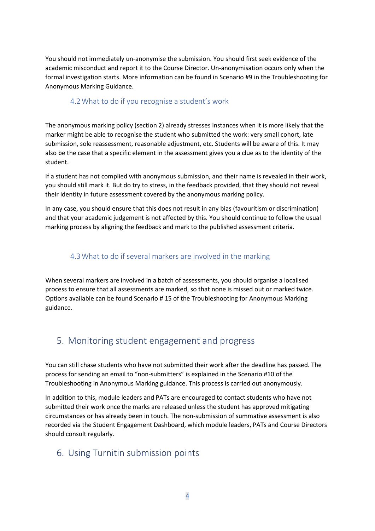You should not immediately un-anonymise the submission. You should first seek evidence of the academic misconduct and report it to the Course Director. Un-anonymisation occurs only when the formal investigation starts. More information can be found in Scenario #9 in the Troubleshooting for Anonymous Marking Guidance.

#### 4.2What to do if you recognise a student's work

<span id="page-3-0"></span>The anonymous marking policy (section 2) already stresses instances when it is more likely that the marker might be able to recognise the student who submitted the work: very small cohort, late submission, sole reassessment, reasonable adjustment, etc. Students will be aware of this. It may also be the case that a specific element in the assessment gives you a clue as to the identity of the student.

If a student has not complied with anonymous submission, and their name is revealed in their work, you should still mark it. But do try to stress, in the feedback provided, that they should not reveal their identity in future assessment covered by the anonymous marking policy.

In any case, you should ensure that this does not result in any bias (favouritism or discrimination) and that your academic judgement is not affected by this. You should continue to follow the usual marking process by aligning the feedback and mark to the published assessment criteria.

#### 4.3What to do if several markers are involved in the marking

<span id="page-3-1"></span>When several markers are involved in a batch of assessments, you should organise a localised process to ensure that all assessments are marked, so that none is missed out or marked twice. Options available can be found Scenario # 15 of the Troubleshooting for Anonymous Marking guidance.

### <span id="page-3-2"></span>5. Monitoring student engagement and progress

You can still chase students who have not submitted their work after the deadline has passed. The process for sending an email to "non-submitters" is explained in the Scenario #10 of the Troubleshooting in Anonymous Marking guidance. This process is carried out anonymously.

In addition to this, module leaders and PATs are encouraged to contact students who have not submitted their work once the marks are released unless the student has approved mitigating circumstances or has already been in touch. The non-submission of summative assessment is also recorded via the Student Engagement Dashboard, which module leaders, PATs and Course Directors should consult regularly.

### <span id="page-3-3"></span>6. Using Turnitin submission points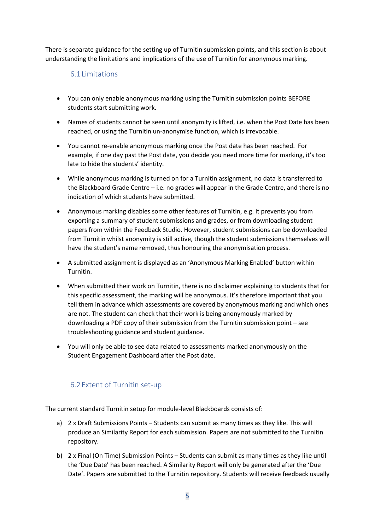<span id="page-4-0"></span>There is separate guidance for the setting up of Turnitin submission points, and this section is about understanding the limitations and implications of the use of Turnitin for anonymous marking.

#### 6.1 Limitations

- You can only enable anonymous marking using the Turnitin submission points BEFORE students start submitting work.
- Names of students cannot be seen until anonymity is lifted, i.e. when the Post Date has been reached, or using the Turnitin un-anonymise function, which is irrevocable.
- You cannot re-enable anonymous marking once the Post date has been reached. For example, if one day past the Post date, you decide you need more time for marking, it's too late to hide the students' identity.
- While anonymous marking is turned on for a Turnitin assignment, no data is transferred to the Blackboard Grade Centre – i.e. no grades will appear in the Grade Centre, and there is no indication of which students have submitted.
- Anonymous marking disables some other features of Turnitin, e.g. it prevents you from exporting a summary of student submissions and grades, or from downloading student papers from within the Feedback Studio. However, student submissions can be downloaded from Turnitin whilst anonymity is still active, though the student submissions themselves will have the student's name removed, thus honouring the anonymisation process.
- A submitted assignment is displayed as an 'Anonymous Marking Enabled' button within Turnitin.
- When submitted their work on Turnitin, there is no disclaimer explaining to students that for this specific assessment, the marking will be anonymous. It's therefore important that you tell them in advance which assessments are covered by anonymous marking and which ones are not. The student can check that their work is being anonymously marked by downloading a PDF copy of their submission from the Turnitin submission point – see troubleshooting guidance and student guidance.
- You will only be able to see data related to assessments marked anonymously on the Student Engagement Dashboard after the Post date.

#### 6.2 Extent of Turnitin set-up

<span id="page-4-1"></span>The current standard Turnitin setup for module-level Blackboards consists of:

- a) 2 x Draft Submissions Points Students can submit as many times as they like. This will produce an Similarity Report for each submission. Papers are not submitted to the Turnitin repository.
- b) 2 x Final (On Time) Submission Points Students can submit as many times as they like until the 'Due Date' has been reached. A Similarity Report will only be generated after the 'Due Date'. Papers are submitted to the Turnitin repository. Students will receive feedback usually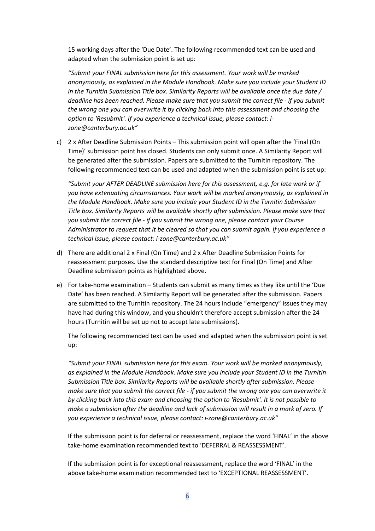15 working days after the 'Due Date'. The following recommended text can be used and adapted when the submission point is set up:

*"Submit your FINAL submission here for this assessment. Your work will be marked anonymously, as explained in the Module Handbook. Make sure you include your Student ID in the Turnitin Submission Title box. Similarity Reports will be available once the due date / deadline has been reached. Please make sure that you submit the correct file - if you submit the wrong one you can overwrite it by clicking back into this assessment and choosing the option to 'Resubmit'. If you experience a technical issue, please contact: izone@canterbury.ac.uk"*

c) 2 x After Deadline Submission Points – This submission point will open after the 'Final (On Time)' submission point has closed. Students can only submit once. A Similarity Report will be generated after the submission. Papers are submitted to the Turnitin repository. The following recommended text can be used and adapted when the submission point is set up:

*"Submit your AFTER DEADLINE submission here for this assessment, e.g. for late work or if you have extenuating circumstances. Your work will be marked anonymously, as explained in the Module Handbook. Make sure you include your Student ID in the Turnitin Submission Title box. Similarity Reports will be available shortly after submission. Please make sure that you submit the correct file - if you submit the wrong one, please contact your Course Administrator to request that it be cleared so that you can submit again. If you experience a technical issue, please contact: i-zone@canterbury.ac.uk"*

- d) There are additional 2 x Final (On Time) and 2 x After Deadline Submission Points for reassessment purposes. Use the standard descriptive text for Final (On Time) and After Deadline submission points as highlighted above.
- e) For take-home examination Students can submit as many times as they like until the 'Due Date' has been reached. A Similarity Report will be generated after the submission. Papers are submitted to the Turnitin repository. The 24 hours include "emergency" issues they may have had during this window, and you shouldn't therefore accept submission after the 24 hours (Turnitin will be set up not to accept late submissions).

The following recommended text can be used and adapted when the submission point is set up:

*"Submit your FINAL submission here for this exam. Your work will be marked anonymously, as explained in the Module Handbook. Make sure you include your Student ID in the Turnitin Submission Title box. Similarity Reports will be available shortly after submission. Please make sure that you submit the correct file - if you submit the wrong one you can overwrite it by clicking back into this exam and choosing the option to 'Resubmit'. It is not possible to make a submission after the deadline and lack of submission will result in a mark of zero. If you experience a technical issue, please contact: i-zone@canterbury.ac.uk"*

If the submission point is for deferral or reassessment, replace the word 'FINAL' in the above take-home examination recommended text to 'DEFERRAL & REASSESSMENT'.

If the submission point is for exceptional reassessment, replace the word 'FINAL' in the above take-home examination recommended text to 'EXCEPTIONAL REASSESSMENT'.